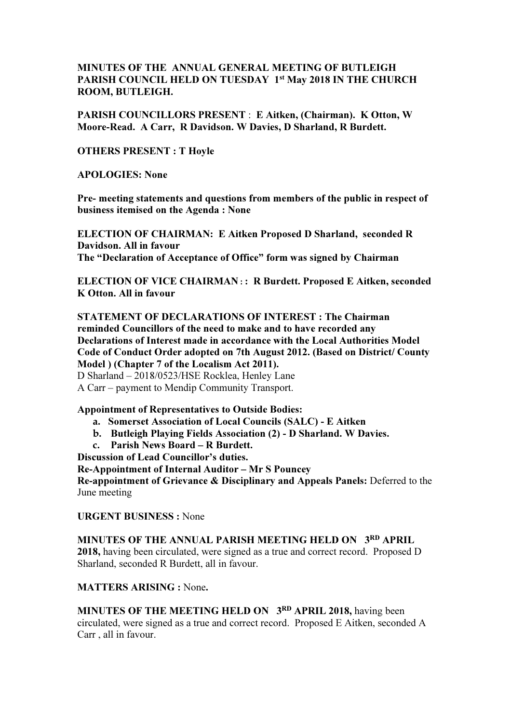## MINUTES OF THE ANNUAL GENERAL MEETING OF BUTLEIGH PARISH COUNCIL HELD ON TUESDAY 1st May 2018 IN THE CHURCH ROOM, BUTLEIGH.

PARISH COUNCILLORS PRESENT : E Aitken, (Chairman). K Otton, W Moore-Read. A Carr, R Davidson. W Davies, D Sharland, R Burdett.

OTHERS PRESENT : T Hoyle

APOLOGIES: None

Pre- meeting statements and questions from members of the public in respect of business itemised on the Agenda : None

ELECTION OF CHAIRMAN: E Aitken Proposed D Sharland, seconded R Davidson. All in favour The "Declaration of Acceptance of Office" form was signed by Chairman

ELECTION OF VICE CHAIRMAN :: R Burdett. Proposed E Aitken, seconded K Otton. All in favour

STATEMENT OF DECLARATIONS OF INTEREST : The Chairman reminded Councillors of the need to make and to have recorded any Declarations of Interest made in accordance with the Local Authorities Model Code of Conduct Order adopted on 7th August 2012. (Based on District/ County Model ) (Chapter 7 of the Localism Act 2011).

D Sharland – 2018/0523/HSE Rocklea, Henley Lane

A Carr – payment to Mendip Community Transport.

Appointment of Representatives to Outside Bodies:

- a. Somerset Association of Local Councils (SALC) E Aitken
- b. Butleigh Playing Fields Association (2) D Sharland. W Davies.
- c. Parish News Board R Burdett.

Discussion of Lead Councillor's duties.

Re-Appointment of Internal Auditor – Mr S Pouncey

Re-appointment of Grievance & Disciplinary and Appeals Panels: Deferred to the June meeting

URGENT BUSINESS : None

MINUTES OF THE ANNUAL PARISH MEETING HELD ON 3RD APRIL. 2018, having been circulated, were signed as a true and correct record. Proposed D Sharland, seconded R Burdett, all in favour.

MATTERS ARISING : None.

MINUTES OF THE MEETING HELD ON 3<sup>RD</sup> APRIL 2018, having been circulated, were signed as a true and correct record. Proposed E Aitken, seconded A Carr , all in favour.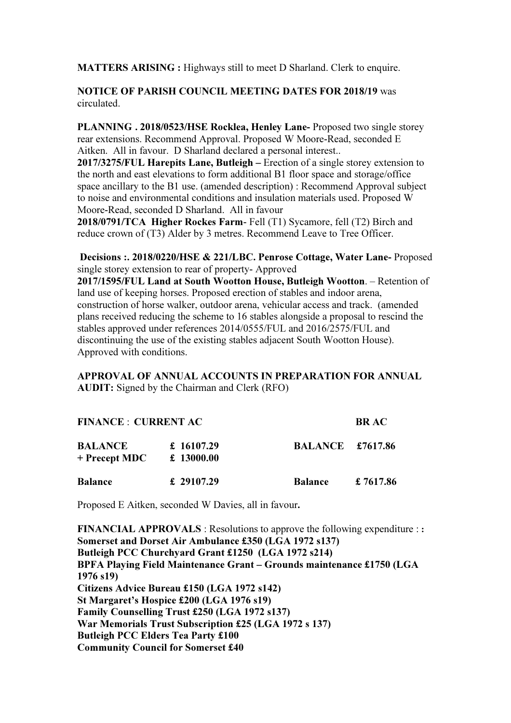MATTERS ARISING : Highways still to meet D Sharland. Clerk to enquire.

## NOTICE OF PARISH COUNCIL MEETING DATES FOR 2018/19 was circulated.

PLANNING . 2018/0523/HSE Rocklea, Henley Lane- Proposed two single storey rear extensions. Recommend Approval. Proposed W Moore-Read, seconded E Aitken. All in favour. D Sharland declared a personal interest..

2017/3275/FUL Harepits Lane, Butleigh – Erection of a single storey extension to the north and east elevations to form additional B1 floor space and storage/office space ancillary to the B1 use. (amended description) : Recommend Approval subject to noise and environmental conditions and insulation materials used. Proposed W Moore-Read, seconded D Sharland. All in favour

2018/0791/TCA Higher Rockes Farm- Fell (T1) Sycamore, fell (T2) Birch and reduce crown of (T3) Alder by 3 metres. Recommend Leave to Tree Officer.

 Decisions :. 2018/0220/HSE & 221/LBC. Penrose Cottage, Water Lane- Proposed single storey extension to rear of property- Approved

2017/1595/FUL Land at South Wootton House, Butleigh Wootton. – Retention of land use of keeping horses. Proposed erection of stables and indoor arena, construction of horse walker, outdoor arena, vehicular access and track. (amended plans received reducing the scheme to 16 stables alongside a proposal to rescind the stables approved under references 2014/0555/FUL and 2016/2575/FUL and discontinuing the use of the existing stables adjacent South Wootton House). Approved with conditions.

## APPROVAL OF ANNUAL ACCOUNTS IN PREPARATION FOR ANNUAL AUDIT: Signed by the Chairman and Clerk (RFO)

| <b>FINANCE : CURRENT AC</b>       |                          |                         | <b>BR AC</b> |
|-----------------------------------|--------------------------|-------------------------|--------------|
| <b>BALANCE</b><br>$+$ Precept MDC | £ 16107.29<br>£ 13000.00 | <b>BALANCE</b> £7617.86 |              |
| <b>Balance</b>                    | £ 29107.29               | <b>Balance</b>          | £ 7617.86    |

Proposed E Aitken, seconded W Davies, all in favour.

FINANCIAL APPROVALS : Resolutions to approve the following expenditure :: Somerset and Dorset Air Ambulance £350 (LGA 1972 s137) Butleigh PCC Churchyard Grant £1250 (LGA 1972 s214) BPFA Playing Field Maintenance Grant – Grounds maintenance £1750 (LGA 1976 s19) Citizens Advice Bureau £150 (LGA 1972 s142) St Margaret's Hospice £200 (LGA 1976 s19) Family Counselling Trust £250 (LGA 1972 s137) War Memorials Trust Subscription £25 (LGA 1972 s 137) Butleigh PCC Elders Tea Party £100 Community Council for Somerset £40